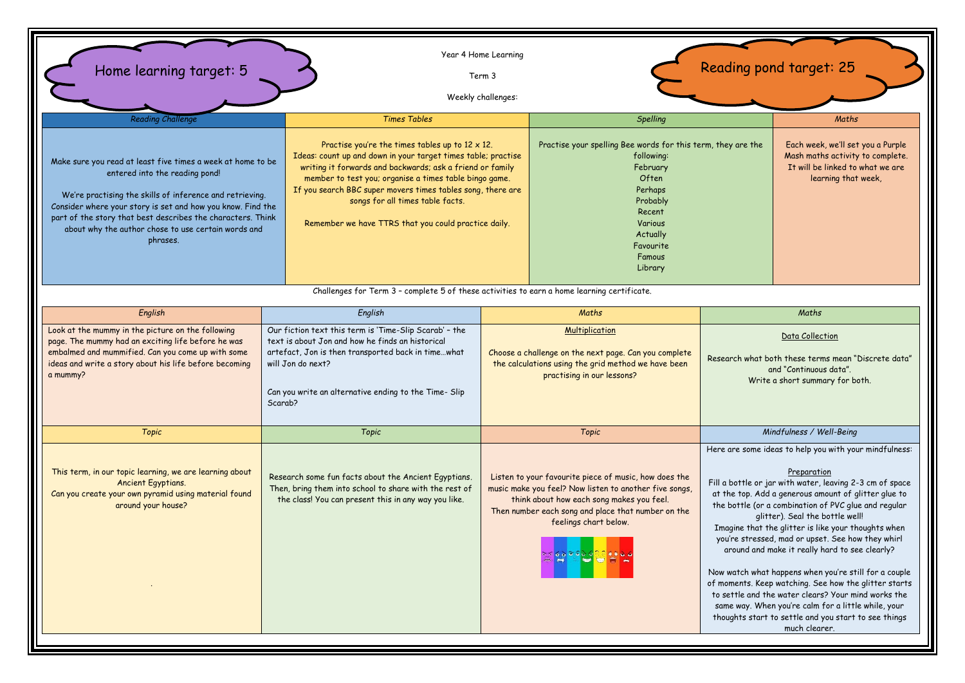| Home learning target: 5                                                                                                                                                                                                                                                                                                                                    | Year 4 Home Learning                                                                                                                                                                                                                                                                                                                                                                                       | Term 3<br>Weekly challenges:                                                                                                                                                                                                                                                           |                                                                                                                                                                                                                                                                                                            |                                                                                                                                                                                                                                                                                                                                                                                                                                                                                                                                                                                                                                                                                                                                                             | Reading pond target: 25                                                                                                          |
|------------------------------------------------------------------------------------------------------------------------------------------------------------------------------------------------------------------------------------------------------------------------------------------------------------------------------------------------------------|------------------------------------------------------------------------------------------------------------------------------------------------------------------------------------------------------------------------------------------------------------------------------------------------------------------------------------------------------------------------------------------------------------|----------------------------------------------------------------------------------------------------------------------------------------------------------------------------------------------------------------------------------------------------------------------------------------|------------------------------------------------------------------------------------------------------------------------------------------------------------------------------------------------------------------------------------------------------------------------------------------------------------|-------------------------------------------------------------------------------------------------------------------------------------------------------------------------------------------------------------------------------------------------------------------------------------------------------------------------------------------------------------------------------------------------------------------------------------------------------------------------------------------------------------------------------------------------------------------------------------------------------------------------------------------------------------------------------------------------------------------------------------------------------------|----------------------------------------------------------------------------------------------------------------------------------|
| <b>Reading Challenge</b>                                                                                                                                                                                                                                                                                                                                   | <b>Times Tables</b>                                                                                                                                                                                                                                                                                                                                                                                        |                                                                                                                                                                                                                                                                                        |                                                                                                                                                                                                                                                                                                            |                                                                                                                                                                                                                                                                                                                                                                                                                                                                                                                                                                                                                                                                                                                                                             | Maths                                                                                                                            |
| Make sure you read at least five times a week at home to be<br>entered into the reading pond!<br>We're practising the skills of inference and retrieving.<br>Consider where your story is set and how you know. Find the<br>part of the story that best describes the characters. Think<br>about why the author chose to use certain words and<br>phrases. | Practise you're the times tables up to $12 \times 12$ .<br>Ideas: count up and down in your target times table; practise<br>writing it forwards and backwards; ask a friend or family<br>member to test you; organise a times table bingo game.<br>If you search BBC super movers times tables song, there are<br>songs for all times table facts.<br>Remember we have TTRS that you could practice daily. |                                                                                                                                                                                                                                                                                        | Spelling<br>Practise your spelling Bee words for this term, they are the<br>following:<br>February<br>Often<br>Perhaps<br>Probably<br>Recent<br>Various<br>Actually<br>Favourite<br>Famous<br>Library                                                                                                      |                                                                                                                                                                                                                                                                                                                                                                                                                                                                                                                                                                                                                                                                                                                                                             | Each week, we'll set you a Purple<br>Mash maths activity to complete.<br>It will be linked to what we are<br>learning that week, |
|                                                                                                                                                                                                                                                                                                                                                            | Challenges for Term 3 - complete 5 of these activities to earn a home learning certificate.                                                                                                                                                                                                                                                                                                                |                                                                                                                                                                                                                                                                                        |                                                                                                                                                                                                                                                                                                            |                                                                                                                                                                                                                                                                                                                                                                                                                                                                                                                                                                                                                                                                                                                                                             |                                                                                                                                  |
| English                                                                                                                                                                                                                                                                                                                                                    | English                                                                                                                                                                                                                                                                                                                                                                                                    |                                                                                                                                                                                                                                                                                        | Maths                                                                                                                                                                                                                                                                                                      | Maths                                                                                                                                                                                                                                                                                                                                                                                                                                                                                                                                                                                                                                                                                                                                                       |                                                                                                                                  |
| Look at the mummy in the picture on the following<br>page. The mummy had an exciting life before he was<br>embalmed and mummified. Can you come up with some<br>ideas and write a story about his life before becoming<br>a mummy?                                                                                                                         | Our fiction text this term is 'Time-Slip Scarab' - the<br>text is about Jon and how he finds an historical<br>artefact, Jon is then transported back in timewhat<br>will Jon do next?<br>Can you write an alternative ending to the Time- Slip<br>Scarab?                                                                                                                                                  |                                                                                                                                                                                                                                                                                        | <b>Multiplication</b><br>Data Collection<br>Choose a challenge on the next page. Can you complete<br>Research what both these terms mean "Discrete data"<br>the calculations using the grid method we have been<br>and "Continuous data".<br>practising in our lessons?<br>Write a short summary for both. |                                                                                                                                                                                                                                                                                                                                                                                                                                                                                                                                                                                                                                                                                                                                                             |                                                                                                                                  |
| Topic                                                                                                                                                                                                                                                                                                                                                      | Topic                                                                                                                                                                                                                                                                                                                                                                                                      | Topic                                                                                                                                                                                                                                                                                  |                                                                                                                                                                                                                                                                                                            | Mindfulness / Well-Being                                                                                                                                                                                                                                                                                                                                                                                                                                                                                                                                                                                                                                                                                                                                    |                                                                                                                                  |
| This term, in our topic learning, we are learning about<br>Ancient Egyptians.<br>Can you create your own pyramid using material found<br>around your house?                                                                                                                                                                                                | Research some fun facts about the Ancient Egyptians.<br>Then, bring them into school to share with the rest of<br>the class! You can present this in any way you like.                                                                                                                                                                                                                                     | Listen to your favourite piece of music, how does the<br>music make you feel? Now listen to another five songs,<br>think about how each song makes you feel.<br>Then number each song and place that number on the<br>feelings chart below.<br>$\bullet$ $\bullet$ $\bullet$ $\bullet$ |                                                                                                                                                                                                                                                                                                            | Here are some ideas to help you with your mindfulness:<br>Preparation<br>Fill a bottle or jar with water, leaving 2-3 cm of space<br>at the top. Add a generous amount of glitter glue to<br>the bottle (or a combination of PVC glue and regular<br>glitter). Seal the bottle well!<br>Imagine that the glitter is like your thoughts when<br>you're stressed, mad or upset. See how they whirl<br>around and make it really hard to see clearly?<br>Now watch what happens when you're still for a couple<br>of moments. Keep watching. See how the glitter starts<br>to settle and the water clears? Your mind works the<br>same way. When you're calm for a little while, your<br>thoughts start to settle and you start to see things<br>much clearer. |                                                                                                                                  |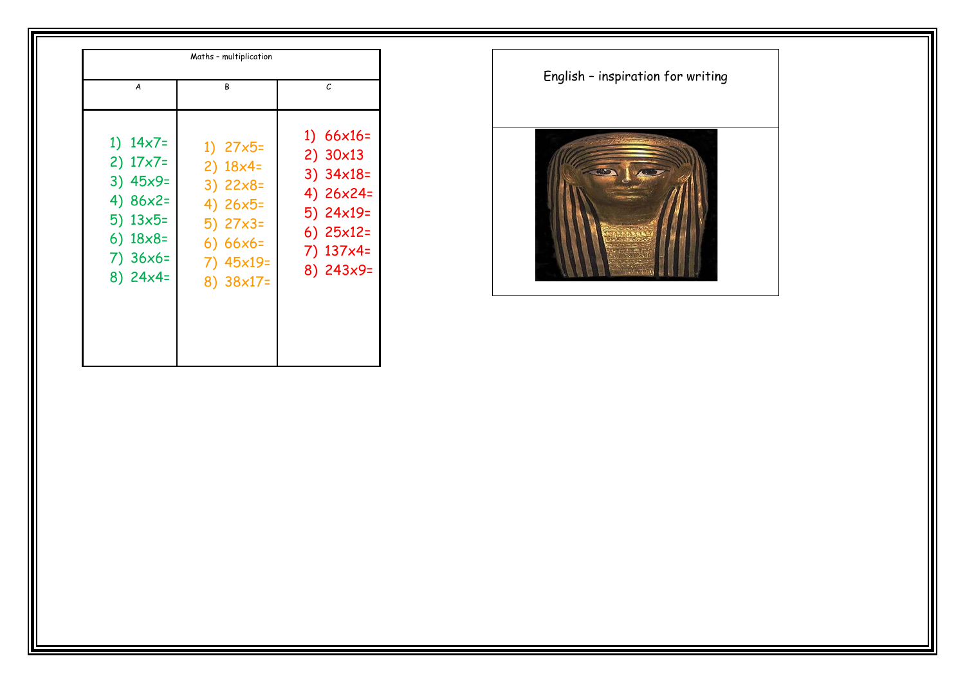| A                                                                                                                                     |  |
|---------------------------------------------------------------------------------------------------------------------------------------|--|
| 1) $14x7=$<br>$2) 17x7=$<br>$3) 45x9=$<br>4) $86x2=$<br>$5)$ 13 $\times$ 5=<br>6) $18 \times 8 =$<br>$7)36x6=$<br>$8)$ 24 $\times$ 4= |  |

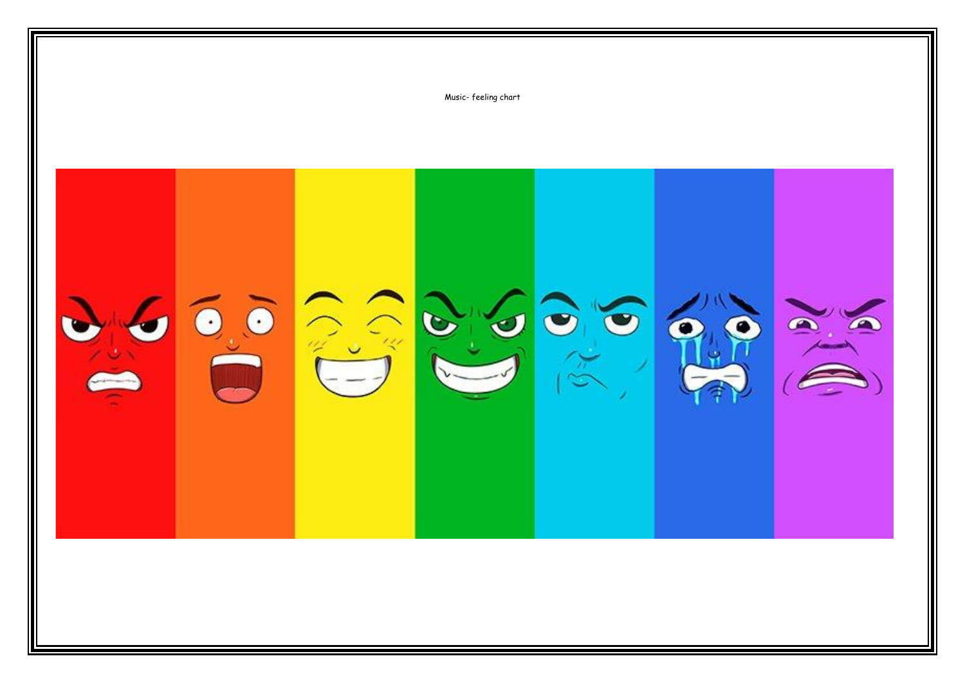